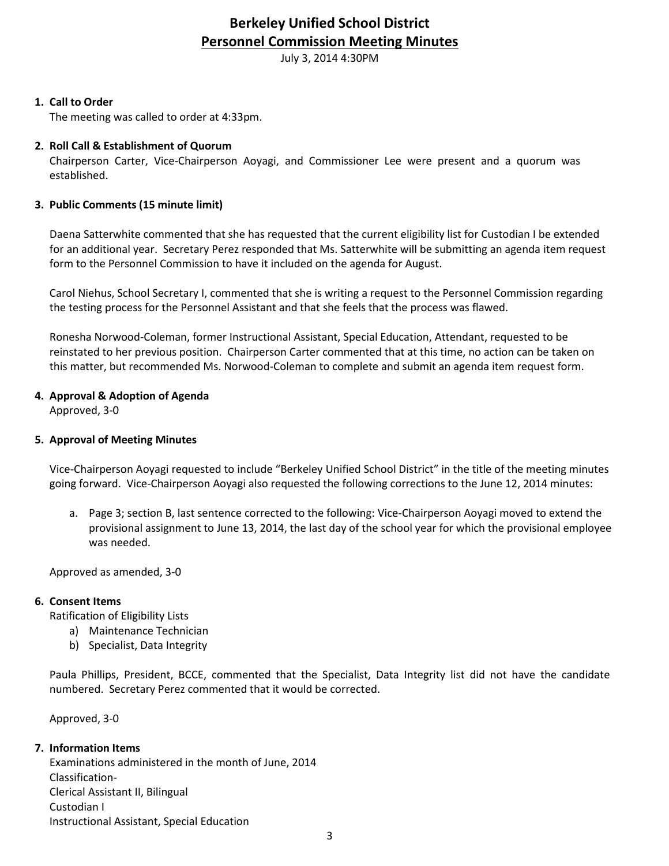# **Berkeley Unified School District Personnel Commission Meeting Minutes**

July 3, 2014 4:30PM

# **1. Call to Order**

The meeting was called to order at 4:33pm.

# **2. Roll Call & Establishment of Quorum**

Chairperson Carter, Vice-Chairperson Aoyagi, and Commissioner Lee were present and a quorum was established.

# **3. Public Comments (15 minute limit)**

Daena Satterwhite commented that she has requested that the current eligibility list for Custodian I be extended for an additional year. Secretary Perez responded that Ms. Satterwhite will be submitting an agenda item request form to the Personnel Commission to have it included on the agenda for August.

Carol Niehus, School Secretary I, commented that she is writing a request to the Personnel Commission regarding the testing process for the Personnel Assistant and that she feels that the process was flawed.

Ronesha Norwood-Coleman, former Instructional Assistant, Special Education, Attendant, requested to be reinstated to her previous position. Chairperson Carter commented that at this time, no action can be taken on this matter, but recommended Ms. Norwood-Coleman to complete and submit an agenda item request form.

# **4. Approval & Adoption of Agenda**

Approved, 3-0

# **5. Approval of Meeting Minutes**

Vice-Chairperson Aoyagi requested to include "Berkeley Unified School District" in the title of the meeting minutes going forward. Vice-Chairperson Aoyagi also requested the following corrections to the June 12, 2014 minutes:

a. Page 3; section B, last sentence corrected to the following: Vice-Chairperson Aoyagi moved to extend the provisional assignment to June 13, 2014, the last day of the school year for which the provisional employee was needed.

Approved as amended, 3-0

#### **6. Consent Items**

Ratification of Eligibility Lists

- a) Maintenance Technician
- b) Specialist, Data Integrity

Paula Phillips, President, BCCE, commented that the Specialist, Data Integrity list did not have the candidate numbered. Secretary Perez commented that it would be corrected.

Approved, 3-0

# **7. Information Items**

Examinations administered in the month of June, 2014 Classification-Clerical Assistant II, Bilingual Custodian I Instructional Assistant, Special Education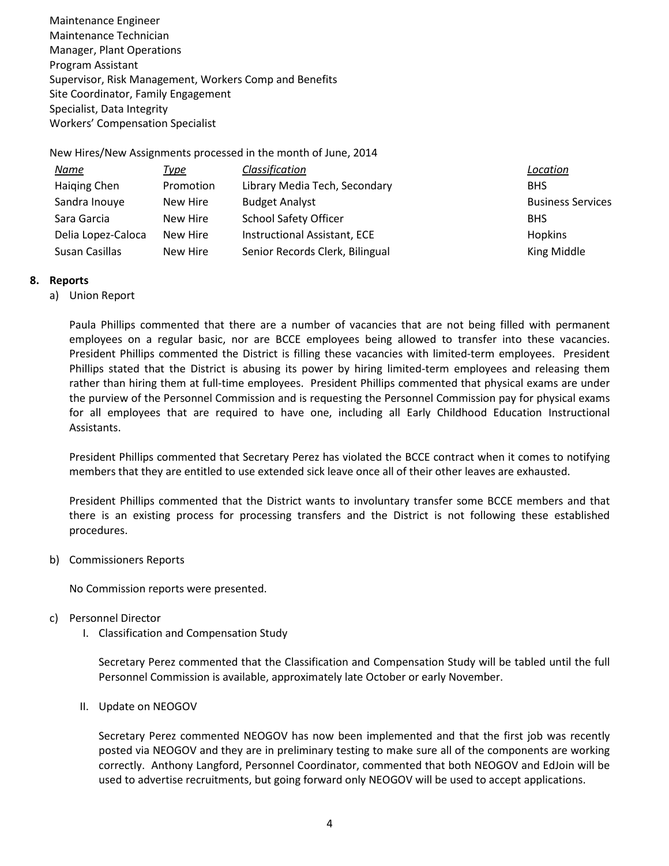Maintenance Engineer Maintenance Technician Manager, Plant Operations Program Assistant Supervisor, Risk Management, Workers Comp and Benefits Site Coordinator, Family Engagement Specialist, Data Integrity Workers' Compensation Specialist

New Hires/New Assignments processed in the month of June, 2014

| <u>Name</u>        | <u>Type</u> | Classification                  | Location                 |
|--------------------|-------------|---------------------------------|--------------------------|
| Haiging Chen       | Promotion   | Library Media Tech, Secondary   | <b>BHS</b>               |
| Sandra Inouye      | New Hire    | <b>Budget Analyst</b>           | <b>Business Services</b> |
| Sara Garcia        | New Hire    | <b>School Safety Officer</b>    | <b>BHS</b>               |
| Delia Lopez-Caloca | New Hire    | Instructional Assistant, ECE    | <b>Hopkins</b>           |
| Susan Casillas     | New Hire    | Senior Records Clerk, Bilingual | King Middle              |

#### **8. Reports**

a) Union Report

Paula Phillips commented that there are a number of vacancies that are not being filled with permanent employees on a regular basic, nor are BCCE employees being allowed to transfer into these vacancies. President Phillips commented the District is filling these vacancies with limited-term employees. President Phillips stated that the District is abusing its power by hiring limited-term employees and releasing them rather than hiring them at full-time employees. President Phillips commented that physical exams are under the purview of the Personnel Commission and is requesting the Personnel Commission pay for physical exams for all employees that are required to have one, including all Early Childhood Education Instructional Assistants.

President Phillips commented that Secretary Perez has violated the BCCE contract when it comes to notifying members that they are entitled to use extended sick leave once all of their other leaves are exhausted.

President Phillips commented that the District wants to involuntary transfer some BCCE members and that there is an existing process for processing transfers and the District is not following these established procedures.

b) Commissioners Reports

No Commission reports were presented.

- c) Personnel Director
	- I. Classification and Compensation Study

Secretary Perez commented that the Classification and Compensation Study will be tabled until the full Personnel Commission is available, approximately late October or early November.

II. Update on NEOGOV

Secretary Perez commented NEOGOV has now been implemented and that the first job was recently posted via NEOGOV and they are in preliminary testing to make sure all of the components are working correctly. Anthony Langford, Personnel Coordinator, commented that both NEOGOV and EdJoin will be used to advertise recruitments, but going forward only NEOGOV will be used to accept applications.